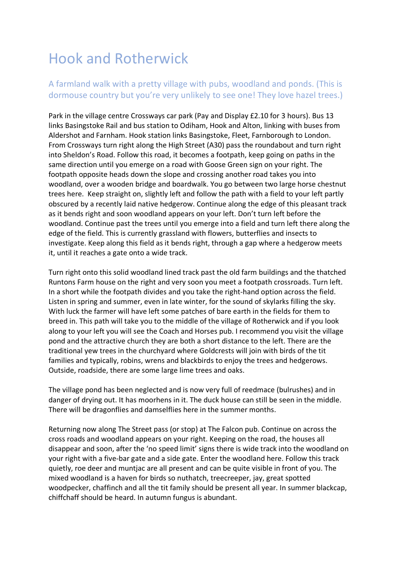## Hook and Rotherwick

## A farmland walk with a pretty village with pubs, woodland and ponds. (This is dormouse country but you're very unlikely to see one! They love hazel trees.)

Park in the village centre Crossways car park (Pay and Display £2.10 for 3 hours). Bus 13 links Basingstoke Rail and bus station to Odiham, Hook and Alton, linking with buses from Aldershot and Farnham. Hook station links Basingstoke, Fleet, Farnborough to London. From Crossways turn right along the High Street (A30) pass the roundabout and turn right into Sheldon's Road. Follow this road, it becomes a footpath, keep going on paths in the same direction until you emerge on a road with Goose Green sign on your right. The footpath opposite heads down the slope and crossing another road takes you into woodland, over a wooden bridge and boardwalk. You go between two large horse chestnut trees here. Keep straight on, slightly left and follow the path with a field to your left partly obscured by a recently laid native hedgerow. Continue along the edge of this pleasant track as it bends right and soon woodland appears on your left. Don't turn left before the woodland. Continue past the trees until you emerge into a field and turn left there along the edge of the field. This is currently grassland with flowers, butterflies and insects to investigate. Keep along this field as it bends right, through a gap where a hedgerow meets it, until it reaches a gate onto a wide track.

Turn right onto this solid woodland lined track past the old farm buildings and the thatched Runtons Farm house on the right and very soon you meet a footpath crossroads. Turn left. In a short while the footpath divides and you take the right-hand option across the field. Listen in spring and summer, even in late winter, for the sound of skylarks filling the sky. With luck the farmer will have left some patches of bare earth in the fields for them to breed in. This path will take you to the middle of the village of Rotherwick and if you look along to your left you will see the Coach and Horses pub. I recommend you visit the village pond and the attractive church they are both a short distance to the left. There are the traditional yew trees in the churchyard where Goldcrests will join with birds of the tit families and typically, robins, wrens and blackbirds to enjoy the trees and hedgerows. Outside, roadside, there are some large lime trees and oaks.

The village pond has been neglected and is now very full of reedmace (bulrushes) and in danger of drying out. It has moorhens in it. The duck house can still be seen in the middle. There will be dragonflies and damselflies here in the summer months.

Returning now along The Street pass (or stop) at The Falcon pub. Continue on across the cross roads and woodland appears on your right. Keeping on the road, the houses all disappear and soon, after the 'no speed limit' signs there is wide track into the woodland on your right with a five-bar gate and a side gate. Enter the woodland here. Follow this track quietly, roe deer and muntjac are all present and can be quite visible in front of you. The mixed woodland is a haven for birds so nuthatch, treecreeper, jay, great spotted woodpecker, chaffinch and all the tit family should be present all year. In summer blackcap, chiffchaff should be heard. In autumn fungus is abundant.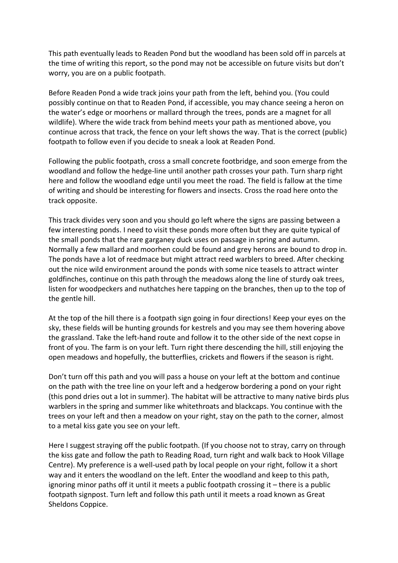This path eventually leads to Readen Pond but the woodland has been sold off in parcels at the time of writing this report, so the pond may not be accessible on future visits but don't worry, you are on a public footpath.

Before Readen Pond a wide track joins your path from the left, behind you. (You could possibly continue on that to Readen Pond, if accessible, you may chance seeing a heron on the water's edge or moorhens or mallard through the trees, ponds are a magnet for all wildlife). Where the wide track from behind meets your path as mentioned above, you continue across that track, the fence on your left shows the way. That is the correct (public) footpath to follow even if you decide to sneak a look at Readen Pond.

Following the public footpath, cross a small concrete footbridge, and soon emerge from the woodland and follow the hedge-line until another path crosses your path. Turn sharp right here and follow the woodland edge until you meet the road. The field is fallow at the time of writing and should be interesting for flowers and insects. Cross the road here onto the track opposite.

This track divides very soon and you should go left where the signs are passing between a few interesting ponds. I need to visit these ponds more often but they are quite typical of the small ponds that the rare garganey duck uses on passage in spring and autumn. Normally a few mallard and moorhen could be found and grey herons are bound to drop in. The ponds have a lot of reedmace but might attract reed warblers to breed. After checking out the nice wild environment around the ponds with some nice teasels to attract winter goldfinches, continue on this path through the meadows along the line of sturdy oak trees, listen for woodpeckers and nuthatches here tapping on the branches, then up to the top of the gentle hill.

At the top of the hill there is a footpath sign going in four directions! Keep your eyes on the sky, these fields will be hunting grounds for kestrels and you may see them hovering above the grassland. Take the left-hand route and follow it to the other side of the next copse in front of you. The farm is on your left. Turn right there descending the hill, still enjoying the open meadows and hopefully, the butterflies, crickets and flowers if the season is right.

Don't turn off this path and you will pass a house on your left at the bottom and continue on the path with the tree line on your left and a hedgerow bordering a pond on your right (this pond dries out a lot in summer). The habitat will be attractive to many native birds plus warblers in the spring and summer like whitethroats and blackcaps. You continue with the trees on your left and then a meadow on your right, stay on the path to the corner, almost to a metal kiss gate you see on your left.

Here I suggest straying off the public footpath. (If you choose not to stray, carry on through the kiss gate and follow the path to Reading Road, turn right and walk back to Hook Village Centre). My preference is a well-used path by local people on your right, follow it a short way and it enters the woodland on the left. Enter the woodland and keep to this path, ignoring minor paths off it until it meets a public footpath crossing it – there is a public footpath signpost. Turn left and follow this path until it meets a road known as Great Sheldons Coppice.